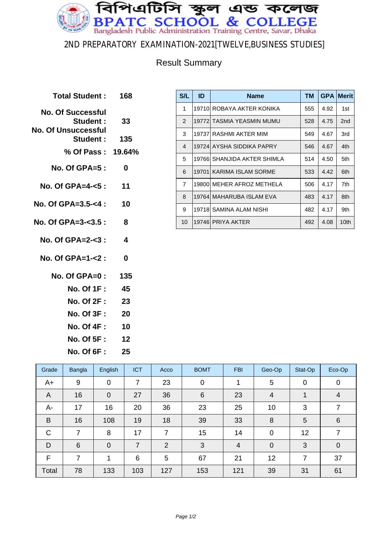

#### 2ND PREPARATORY EXAMINATION-2021[TWELVE,BUSINESS STUDIES]

### Result Summary

**Total Student : 168 No. Of Successful Student : 33 No. Of Unsuccessful Student : 135 % Of Pass : 19.64% No. Of GPA=5 : 0 No. Of GPA=4-<5 : 11 No. Of GPA=3.5-<4 : 10 No. Of GPA=3-<3.5 : 8 No. Of GPA=2-<3 : 4 No. Of GPA=1-<2 : 0 No. Of GPA=0 : 135 No. Of 1F : 45 No. Of 2F : 23 No. Of 3F : 20 No. Of 4F : 10 No. Of 5F : 12 No. Of 6F : 25**

| S/L            | ID     | <b>Name</b>               | TМ  | <b>GPA</b> | <b>Merit</b>    |
|----------------|--------|---------------------------|-----|------------|-----------------|
| 1              |        | 19710 ROBAYA AKTER KONIKA | 555 | 4.92       | 1st             |
| $\overline{2}$ |        | 19772 TASMIA YEASMIN MUMU | 528 | 4.75       | 2 <sub>nd</sub> |
| 3              |        | 19737 RASHMI AKTER MIM    | 549 | 4.67       | 3rd             |
| $\overline{4}$ |        | 19724 AYSHA SIDDIKA PAPRY | 546 | 4.67       | 4th             |
| 5              | 197661 | SHANJIDA AKTER SHIMLA     | 514 | 4.50       | 5th             |
| 6              |        | 19701 KARIMA ISLAM SORME  | 533 | 4.42       | 6th             |
| $\overline{7}$ | 19800  | IMEHER AFROZ METHELA      | 506 | 4.17       | 7th             |
| 8              |        | 19764  MAHARUBA ISLAM EVA | 483 | 4.17       | 8th             |
| 9              |        | 19718 SAMINA ALAM NISHI   | 482 | 4.17       | 9th             |
| 10             |        | 19746 PRIYA AKTER         | 492 | 4.08       | 10th            |

| Grade       | Bangla | English        | <b>ICT</b> | Acco | <b>BOMT</b>    | <b>FBI</b> | Geo-Op         | Stat-Op | Eco-Op          |
|-------------|--------|----------------|------------|------|----------------|------------|----------------|---------|-----------------|
| $A+$        | 9      | $\overline{0}$ | 7          | 23   | $\mathbf 0$    |            | 5              | 0       | 0               |
| A           | 16     | $\overline{0}$ | 27         | 36   | $6\phantom{1}$ | 23         | $\overline{4}$ |         | 4               |
| А-          | 17     | 16             | 20         | 36   | 23             | 25         | 10             | 3       | 7               |
| B           | 16     | 108            | 19         | 18   | 39             | 33         | 8              | 5       | $6\phantom{1}6$ |
| $\mathsf C$ | 7      | 8              | 17         | 7    | 15             | 14         | 0              | 12      | 7               |
| D           | 6      | $\overline{0}$ | 7          | 2    | 3              | 4          | $\mathbf 0$    | 3       | $\mathbf 0$     |
| F           | 7      |                | 6          | 5    | 67             | 21         | 12             | 7       | 37              |
| Total       | 78     | 133            | 103        | 127  | 153            | 121        | 39             | 31      | 61              |